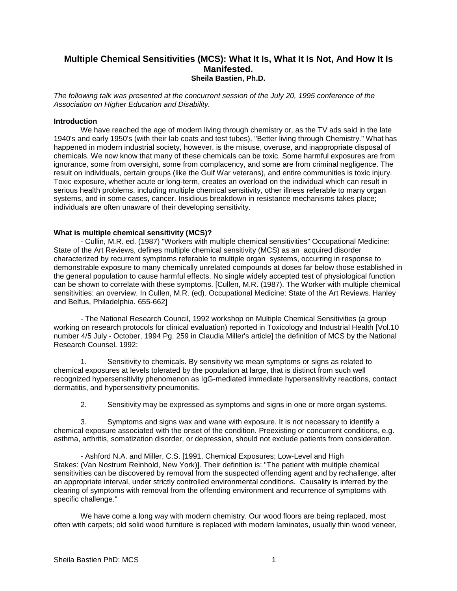# **Multiple Chemical Sensitivities (MCS): What It Is, What It Is Not, And How It Is Manifested. Sheila Bastien, Ph.D.**

*The following talk was presented at the concurrent session of the July 20, 1995 conference of the Association on Higher Education and Disability.*

## **Introduction**

We have reached the age of modern living through chemistry or, as the TV ads said in the late 1940's and early 1950's (with their lab coats and test tubes), "Better living through Chemistry." What has happened in modern industrial society, however, is the misuse, overuse, and inappropriate disposal of chemicals. We now know that many of these chemicals can be toxic. Some harmful exposures are from ignorance, some from oversight, some from complacency, and some are from criminal negligence. The result on individuals, certain groups (like the Gulf War veterans), and entire communities is toxic injury. Toxic exposure, whether acute or long-term, creates an overload on the individual which can result in serious health problems, including multiple chemical sensitivity, other illness referable to many organ systems, and in some cases, cancer. Insidious breakdown in resistance mechanisms takes place; individuals are often unaware of their developing sensitivity.

### **What is multiple chemical sensitivity (MCS)?**

- Cullin, M.R. ed. (1987) "Workers with multiple chemical sensitivities" Occupational Medicine: State of the Art Reviews, defines multiple chemical sensitivity (MCS) as an acquired disorder characterized by recurrent symptoms referable to multiple organ systems, occurring in response to demonstrable exposure to many chemically unrelated compounds at doses far below those established in the general population to cause harmful effects. No single widely accepted test of physiological function can be shown to correlate with these symptoms. [Cullen, M.R. (1987). The Worker with multiple chemical sensitivities: an overview. In Cullen, M.R. (ed). Occupational Medicine: State of the Art Reviews. Hanley and Belfus, Philadelphia. 655-662]

- The National Research Council, 1992 workshop on Multiple Chemical Sensitivities (a group working on research protocols for clinical evaluation) reported in Toxicology and Industrial Health [Vol.10 number 4/5 July - October, 1994 Pg. 259 in Claudia Miller's article] the definition of MCS by the National Research Counsel. 1992:

1. Sensitivity to chemicals. By sensitivity we mean symptoms or signs as related to chemical exposures at levels tolerated by the population at large, that is distinct from such well recognized hypersensitivity phenomenon as IgG-mediated immediate hypersensitivity reactions, contact dermatitis, and hypersensitivity pneumonitis.

2. Sensitivity may be expressed as symptoms and signs in one or more organ systems.

3. Symptoms and signs wax and wane with exposure. It is not necessary to identify a chemical exposure associated with the onset of the condition. Preexisting or concurrent conditions, e.g. asthma, arthritis, somatization disorder, or depression, should not exclude patients from consideration.

- Ashford N.A. and Miller, C.S. [1991. Chemical Exposures; Low-Level and High Stakes: (Van Nostrum Reinhold, New York)]. Their definition is: "The patient with multiple chemical sensitivities can be discovered by removal from the suspected offending agent and by rechallenge, after an appropriate interval, under strictly controlled environmental conditions. Causality is inferred by the clearing of symptoms with removal from the offending environment and recurrence of symptoms with specific challenge."

We have come a long way with modern chemistry. Our wood floors are being replaced, most often with carpets; old solid wood furniture is replaced with modern laminates, usually thin wood veneer,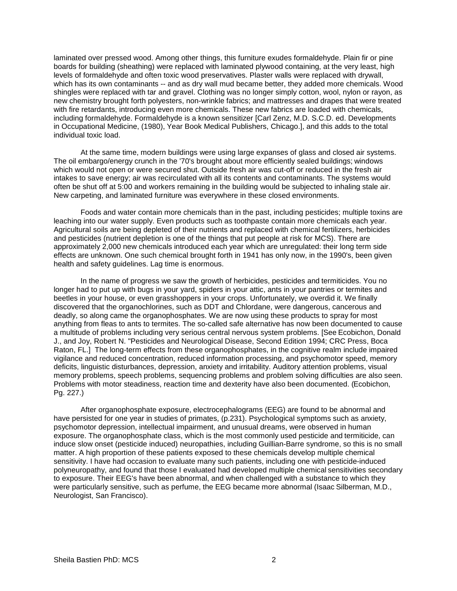laminated over pressed wood. Among other things, this furniture exudes formaldehyde. Plain fir or pine boards for building (sheathing) were replaced with laminated plywood containing, at the very least, high levels of formaldehyde and often toxic wood preservatives. Plaster walls were replaced with drywall, which has its own contaminants -- and as dry wall mud became better, they added more chemicals. Wood shingles were replaced with tar and gravel. Clothing was no longer simply cotton, wool, nylon or rayon, as new chemistry brought forth polyesters, non-wrinkle fabrics; and mattresses and drapes that were treated with fire retardants, introducing even more chemicals. These new fabrics are loaded with chemicals, including formaldehyde. Formaldehyde is a known sensitizer [Carl Zenz, M.D. S.C.D. ed. Developments in Occupational Medicine, (1980), Year Book Medical Publishers, Chicago.], and this adds to the total individual toxic load.

At the same time, modern buildings were using large expanses of glass and closed air systems. The oil embargo/energy crunch in the '70's brought about more efficiently sealed buildings; windows which would not open or were secured shut. Outside fresh air was cut-off or reduced in the fresh air intakes to save energy; air was recirculated with all its contents and contaminants. The systems would often be shut off at 5:00 and workers remaining in the building would be subjected to inhaling stale air. New carpeting, and laminated furniture was everywhere in these closed environments.

Foods and water contain more chemicals than in the past, including pesticides; multiple toxins are leaching into our water supply. Even products such as toothpaste contain more chemicals each year. Agricultural soils are being depleted of their nutrients and replaced with chemical fertilizers, herbicides and pesticides (nutrient depletion is one of the things that put people at risk for MCS). There are approximately 2,000 new chemicals introduced each year which are unregulated: their long term side effects are unknown. One such chemical brought forth in 1941 has only now, in the 1990's, been given health and safety guidelines. Lag time is enormous.

In the name of progress we saw the growth of herbicides, pesticides and termiticides. You no longer had to put up with bugs in your yard, spiders in your attic, ants in your pantries or termites and beetles in your house, or even grasshoppers in your crops. Unfortunately, we overdid it. We finally discovered that the organochlorines, such as DDT and Chlordane, were dangerous, cancerous and deadly, so along came the organophosphates. We are now using these products to spray for most anything from fleas to ants to termites. The so-called safe alternative has now been documented to cause a multitude of problems including very serious central nervous system problems. [See Ecobichon, Donald J., and Joy, Robert N. "Pesticides and Neurological Disease, Second Edition 1994; CRC Press, Boca Raton, FL.] The long-term effects from these organophosphates, in the cognitive realm include impaired vigilance and reduced concentration, reduced information processing, and psychomotor speed, memory deficits, linguistic disturbances, depression, anxiety and irritability. Auditory attention problems, visual memory problems, speech problems, sequencing problems and problem solving difficulties are also seen. Problems with motor steadiness, reaction time and dexterity have also been documented. (Ecobichon, Pg. 227.)

After organophosphate exposure, electrocephalograms (EEG) are found to be abnormal and have persisted for one year in studies of primates, (p.231). Psychological symptoms such as anxiety, psychomotor depression, intellectual impairment, and unusual dreams, were observed in human exposure. The organophosphate class, which is the most commonly used pesticide and termiticide, can induce slow onset (pesticide induced) neuropathies, including Guillian-Barre syndrome, so this is no small matter. A high proportion of these patients exposed to these chemicals develop multiple chemical sensitivity. I have had occasion to evaluate many such patients, including one with pesticide-induced polyneuropathy, and found that those I evaluated had developed multiple chemical sensitivities secondary to exposure. Their EEG's have been abnormal, and when challenged with a substance to which they were particularly sensitive, such as perfume, the EEG became more abnormal (Isaac Silberman, M.D., Neurologist, San Francisco).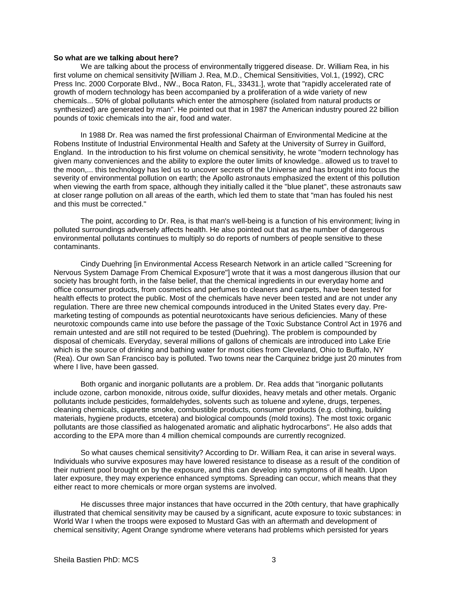#### **So what are we talking about here?**

We are talking about the process of environmentally triggered disease. Dr. William Rea, in his first volume on chemical sensitivity [William J. Rea, M.D., Chemical Sensitivities, Vol.1, (1992), CRC Press Inc. 2000 Corporate Blvd., NW., Boca Raton, FL, 33431.], wrote that "rapidly accelerated rate of growth of modern technology has been accompanied by a proliferation of a wide variety of new chemicals... 50% of global pollutants which enter the atmosphere (isolated from natural products or synthesized) are generated by man". He pointed out that in 1987 the American industry poured 22 billion pounds of toxic chemicals into the air, food and water.

In 1988 Dr. Rea was named the first professional Chairman of Environmental Medicine at the Robens Institute of Industrial Environmental Health and Safety at the University of Surrey in Guilford, England. In the introduction to his first volume on chemical sensitivity, he wrote "modern technology has given many conveniences and the ability to explore the outer limits of knowledge.. allowed us to travel to the moon,... this technology has led us to uncover secrets of the Universe and has brought into focus the severity of environmental pollution on earth; the Apollo astronauts emphasized the extent of this pollution when viewing the earth from space, although they initially called it the "blue planet", these astronauts saw at closer range pollution on all areas of the earth, which led them to state that "man has fouled his nest and this must be corrected."

The point, according to Dr. Rea, is that man's well-being is a function of his environment; living in polluted surroundings adversely affects health. He also pointed out that as the number of dangerous environmental pollutants continues to multiply so do reports of numbers of people sensitive to these contaminants.

Cindy Duehring [in Environmental Access Research Network in an article called "Screening for Nervous System Damage From Chemical Exposure"] wrote that it was a most dangerous illusion that our society has brought forth, in the false belief, that the chemical ingredients in our everyday home and office consumer products, from cosmetics and perfumes to cleaners and carpets, have been tested for health effects to protect the public. Most of the chemicals have never been tested and are not under any regulation. There are three new chemical compounds introduced in the United States every day. Premarketing testing of compounds as potential neurotoxicants have serious deficiencies. Many of these neurotoxic compounds came into use before the passage of the Toxic Substance Control Act in 1976 and remain untested and are still not required to be tested (Duehring). The problem is compounded by disposal of chemicals. Everyday, several millions of gallons of chemicals are introduced into Lake Erie which is the source of drinking and bathing water for most cities from Cleveland, Ohio to Buffalo, NY (Rea). Our own San Francisco bay is polluted. Two towns near the Carquinez bridge just 20 minutes from where I live, have been gassed.

Both organic and inorganic pollutants are a problem. Dr. Rea adds that "inorganic pollutants include ozone, carbon monoxide, nitrous oxide, sulfur dioxides, heavy metals and other metals. Organic pollutants include pesticides, formaldehydes, solvents such as toluene and xylene, drugs, terpenes, cleaning chemicals, cigarette smoke, combustible products, consumer products (e.g. clothing, building materials, hygiene products, etcetera) and biological compounds (mold toxins). The most toxic organic pollutants are those classified as halogenated aromatic and aliphatic hydrocarbons". He also adds that according to the EPA more than 4 million chemical compounds are currently recognized.

So what causes chemical sensitivity? According to Dr. William Rea, it can arise in several ways. Individuals who survive exposures may have lowered resistance to disease as a result of the condition of their nutrient pool brought on by the exposure, and this can develop into symptoms of ill health. Upon later exposure, they may experience enhanced symptoms. Spreading can occur, which means that they either react to more chemicals or more organ systems are involved.

He discusses three major instances that have occurred in the 20th century, that have graphically illustrated that chemical sensitivity may be caused by a significant, acute exposure to toxic substances: in World War I when the troops were exposed to Mustard Gas with an aftermath and development of chemical sensitivity; Agent Orange syndrome where veterans had problems which persisted for years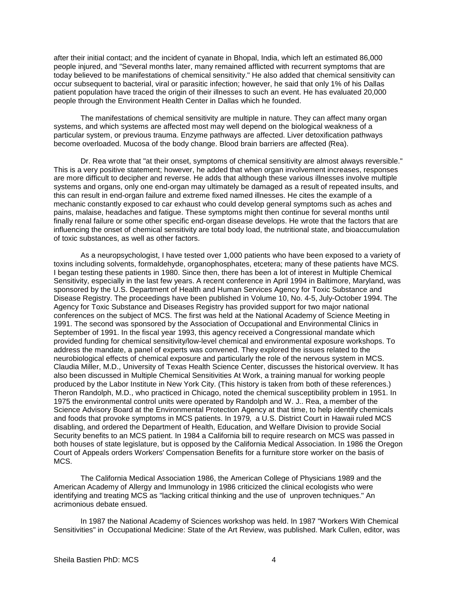after their initial contact; and the incident of cyanate in Bhopal, India, which left an estimated 86,000 people injured, and "Several months later, many remained afflicted with recurrent symptoms that are today believed to be manifestations of chemical sensitivity." He also added that chemical sensitivity can occur subsequent to bacterial, viral or parasitic infection; however, he said that only 1% of his Dallas patient population have traced the origin of their illnesses to such an event. He has evaluated 20,000 people through the Environment Health Center in Dallas which he founded.

The manifestations of chemical sensitivity are multiple in nature. They can affect many organ systems, and which systems are affected most may well depend on the biological weakness of a particular system, or previous trauma. Enzyme pathways are affected. Liver detoxification pathways become overloaded. Mucosa of the body change. Blood brain barriers are affected (Rea).

Dr. Rea wrote that "at their onset, symptoms of chemical sensitivity are almost always reversible." This is a very positive statement; however, he added that when organ involvement increases, responses are more difficult to decipher and reverse. He adds that although these various illnesses involve multiple systems and organs, only one end-organ may ultimately be damaged as a result of repeated insults, and this can result in end-organ failure and extreme fixed named illnesses. He cites the example of a mechanic constantly exposed to car exhaust who could develop general symptoms such as aches and pains, malaise, headaches and fatigue. These symptoms might then continue for several months until finally renal failure or some other specific end-organ disease develops. He wrote that the factors that are influencing the onset of chemical sensitivity are total body load, the nutritional state, and bioaccumulation of toxic substances, as well as other factors.

As a neuropsychologist, I have tested over 1,000 patients who have been exposed to a variety of toxins including solvents, formaldehyde, organophosphates, etcetera; many of these patients have MCS. I began testing these patients in 1980. Since then, there has been a lot of interest in Multiple Chemical Sensitivity, especially in the last few years. A recent conference in April 1994 in Baltimore, Maryland, was sponsored by the U.S. Department of Health and Human Services Agency for Toxic Substance and Disease Registry. The proceedings have been published in Volume 10, No. 4-5, July-October 1994. The Agency for Toxic Substance and Diseases Registry has provided support for two major national conferences on the subject of MCS. The first was held at the National Academy of Science Meeting in 1991. The second was sponsored by the Association of Occupational and Environmental Clinics in September of 1991. In the fiscal year 1993, this agency received a Congressional mandate which provided funding for chemical sensitivity/low-level chemical and environmental exposure workshops. To address the mandate, a panel of experts was convened. They explored the issues related to the neurobiological effects of chemical exposure and particularly the role of the nervous system in MCS. Claudia Miller, M.D., University of Texas Health Science Center, discusses the historical overview. It has also been discussed in Multiple Chemical Sensitivities At Work, a training manual for working people produced by the Labor Institute in New York City. (This history is taken from both of these references.) Theron Randolph, M.D., who practiced in Chicago, noted the chemical susceptibility problem in 1951. In 1975 the environmental control units were operated by Randolph and W. J.. Rea, a member of the Science Advisory Board at the Environmental Protection Agency at that time, to help identify chemicals and foods that provoke symptoms in MCS patients. In 1979, a U.S. District Court in Hawaii ruled MCS disabling, and ordered the Department of Health, Education, and Welfare Division to provide Social Security benefits to an MCS patient. In 1984 a California bill to require research on MCS was passed in both houses of state legislature, but is opposed by the California Medical Association. In 1986 the Oregon Court of Appeals orders Workers' Compensation Benefits for a furniture store worker on the basis of MCS.

The California Medical Association 1986, the American College of Physicians 1989 and the American Academy of Allergy and Immunology in 1986 criticized the clinical ecologists who were identifying and treating MCS as "lacking critical thinking and the use of unproven techniques." An acrimonious debate ensued.

In 1987 the National Academy of Sciences workshop was held. In 1987 "Workers With Chemical Sensitivities" in Occupational Medicine: State of the Art Review, was published. Mark Cullen, editor, was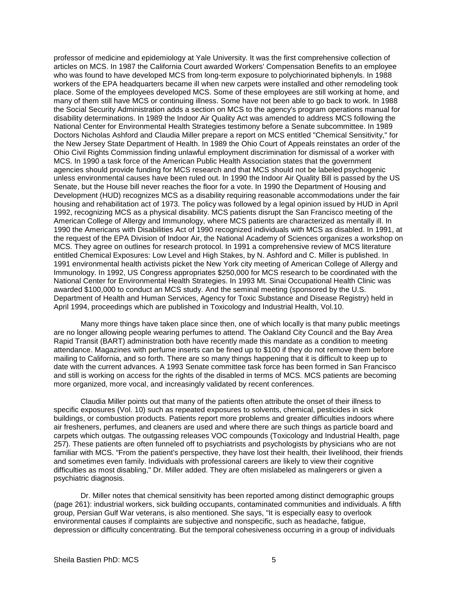professor of medicine and epidemiology at Yale University. It was the first comprehensive collection of articles on MCS. In 1987 the California Court awarded Workers' Compensation Benefits to an employee who was found to have developed MCS from long-term exposure to polychiorinated biphenyls. In 1988 workers of the EPA headquarters became ill when new carpets were installed and other remodeling took place. Some of the employees developed MCS. Some of these employees are still working at home, and many of them still have MCS or continuing illness. Some have not been able to go back to work. In 1988 the Social Security Administration adds a section on MCS to the agency's program operations manual for disability determinations. In 1989 the Indoor Air Quality Act was amended to address MCS following the National Center for Environmental Health Strategies testimony before a Senate subcommittee. In 1989 Doctors Nicholas Ashford and Claudia Miller prepare a report on MCS entitled "Chemical Sensitivity," for the New Jersey State Department of Health. In 1989 the Ohio Court of Appeals reinstates an order of the Ohio Civil Rights Commission finding unlawful employment discrimination for dismissal of a worker with MCS. In 1990 a task force of the American Public Health Association states that the government agencies should provide funding for MCS research and that MCS should not be labeled psychogenic unless environmental causes have been ruled out. In 1990 the Indoor Air Quality Bill is passed by the US Senate, but the House bill never reaches the floor for a vote. In 1990 the Department of Housing and Development (HUD) recognizes MCS as a disability requiring reasonable accommodations under the fair housing and rehabilitation act of 1973. The policy was followed by a legal opinion issued by HUD in April 1992, recognizing MCS as a physical disability. MCS patients disrupt the San Francisco meeting of the American College of Allergy and Immunology, where MCS patients are characterized as mentally ill. In 1990 the Americans with Disabilities Act of 1990 recognized individuals with MCS as disabled. In 1991, at the request of the EPA Division of Indoor Air, the National Academy of Sciences organizes a workshop on MCS. They agree on outlines for research protocol. In 1991 a comprehensive review of MCS literature entitled Chemical Exposures: Low Level and High Stakes, by N. Ashford and C. Miller is published. In 1991 environmental health activists picket the New York city meeting of American College of Allergy and Immunology. In 1992, US Congress appropriates \$250,000 for MCS research to be coordinated with the National Center for Environmental Health Strategies. In 1993 Mt. Sinai Occupational Health Clinic was awarded \$100,000 to conduct an MCS study. And the seminal meeting (sponsored by the U.S. Department of Health and Human Services, Agency for Toxic Substance and Disease Registry) held in April 1994, proceedings which are published in Toxicology and Industrial Health, Vol.10.

Many more things have taken place since then, one of which locally is that many public meetings are no longer allowing people wearing perfumes to attend. The Oakland City Council and the Bay Area Rapid Transit (BART) administration both have recently made this mandate as a condition to meeting attendance. Magazines with perfume inserts can be fined up to \$100 if they do not remove them before mailing to California, and so forth. There are so many things happening that it is difficult to keep up to date with the current advances. A 1993 Senate committee task force has been formed in San Francisco and still is working on access for the rights of the disabled in terms of MCS. MCS patients are becoming more organized, more vocal, and increasingly validated by recent conferences.

Claudia Miller points out that many of the patients often attribute the onset of their illness to specific exposures (Vol. 10) such as repeated exposures to solvents, chemical, pesticides in sick buildings, or combustion products. Patients report more problems and greater difficulties indoors where air fresheners, perfumes, and cleaners are used and where there are such things as particle board and carpets which outgas. The outgassing releases VOC compounds (Toxicology and Industrial Health, page 257). These patients are often funneled off to psychiatrists and psychologists by physicians who are not familiar with MCS. "From the patient's perspective, they have lost their health, their livelihood, their friends and sometimes even family. Individuals with professional careers are likely to view their cognitive difficulties as most disabling," Dr. Miller added. They are often mislabeled as malingerers or given a psychiatric diagnosis.

Dr. Miller notes that chemical sensitivity has been reported among distinct demographic groups (page 261): industrial workers, sick building occupants, contaminated communities and individuals. A fifth group, Persian Gulf War veterans, is also mentioned. She says, "It is especially easy to overlook environmental causes if complaints are subjective and nonspecific, such as headache, fatigue, depression or difficulty concentrating. But the temporal cohesiveness occurring in a group of individuals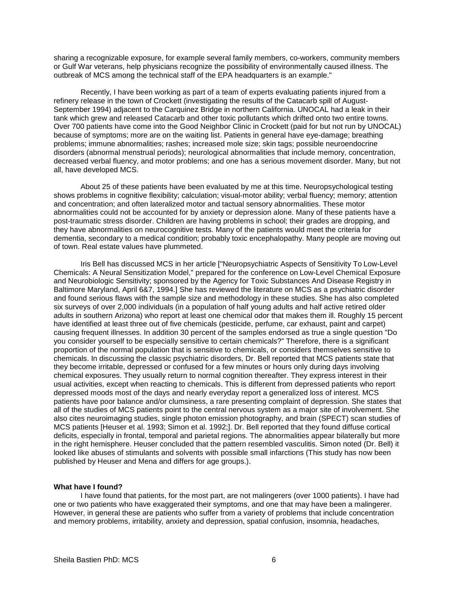sharing a recognizable exposure, for example several family members, co-workers, community members or Gulf War veterans, help physicians recognize the possibility of environmentally caused illness. The outbreak of MCS among the technical staff of the EPA headquarters is an example."

Recently, I have been working as part of a team of experts evaluating patients injured from a refinery release in the town of Crockett (investigating the results of the Catacarb spill of August-September 1994) adjacent to the Carquinez Bridge in northern California. UNOCAL had a leak in their tank which grew and released Catacarb and other toxic pollutants which drifted onto two entire towns. Over 700 patients have come into the Good Neighbor Clinic in Crockett (paid for but not run by UNOCAL) because of symptoms; more are on the waiting list. Patients in general have eye-damage; breathing problems; immune abnormalities; rashes; increased mole size; skin tags; possible neuroendocrine disorders (abnormal menstrual periods); neurological abnormalities that include memory, concentration, decreased verbal fluency, and motor problems; and one has a serious movement disorder. Many, but not all, have developed MCS.

About 25 of these patients have been evaluated by me at this time. Neuropsychological testing shows problems in cognitive flexibility; calculation; visual-motor ability; verbal fluency; memory; attention and concentration; and often lateralized motor and tactual sensory abnormalities. These motor abnormalities could not be accounted for by anxiety or depression alone. Many of these patients have a post-traumatic stress disorder. Children are having problems in school; their grades are dropping, and they have abnormalities on neurocognitive tests. Many of the patients would meet the criteria for dementia, secondary to a medical condition; probably toxic encephalopathy. Many people are moving out of town. Real estate values have plummeted.

Iris Bell has discussed MCS in her article ["Neuropsychiatric Aspects of Sensitivity To Low-Level Chemicals: A Neural Sensitization Model," prepared for the conference on Low-Level Chemical Exposure and Neurobiologic Sensitivity; sponsored by the Agency for Toxic Substances And Disease Registry in Baltimore Maryland, April 6&7, 1994.] She has reviewed the literature on MCS as a psychiatric disorder and found serious flaws with the sample size and methodology in these studies. She has also completed six surveys of over 2,000 individuals (in a population of half young adults and half active retired older adults in southern Arizona) who report at least one chemical odor that makes them ill. Roughly 15 percent have identified at least three out of five chemicals (pesticide, perfume, car exhaust, paint and carpet) causing frequent illnesses. In addition 30 percent of the samples endorsed as true a single question "Do you consider yourself to be especially sensitive to certain chemicals?" Therefore, there is a significant proportion of the normal population that is sensitive to chemicals, or considers themselves sensitive to chemicals. In discussing the classic psychiatric disorders, Dr. Bell reported that MCS patients state that they become irritable, depressed or confused for a few minutes or hours only during days involving chemical exposures. They usually return to normal cognition thereafter. They express interest in their usual activities, except when reacting to chemicals. This is different from depressed patients who report depressed moods most of the days and nearly everyday report a generalized loss of interest. MCS patients have poor balance and/or clumsiness, a rare presenting complaint of depression. She states that all of the studies of MCS patients point to the central nervous system as a major site of involvement. She also cites neuroimaging studies, single photon emission photography, and brain (SPECT) scan studies of MCS patients [Heuser et al. 1993; Simon et al. 1992;]. Dr. Bell reported that they found diffuse cortical deficits, especially in frontal, temporal and parietal regions. The abnormalities appear bilaterally but more in the right hemisphere. Heuser concluded that the pattern resembled vasculitis. Simon noted (Dr. Bell) it looked like abuses of stimulants and solvents with possible small infarctions (This study has now been published by Heuser and Mena and differs for age groups.).

#### **What have I found?**

I have found that patients, for the most part, are not malingerers (over 1000 patients). I have had one or two patients who have exaggerated their symptoms, and one that may have been a malingerer. However, in general these are patients who suffer from a variety of problems that include concentration and memory problems, irritability, anxiety and depression, spatial confusion, insomnia, headaches,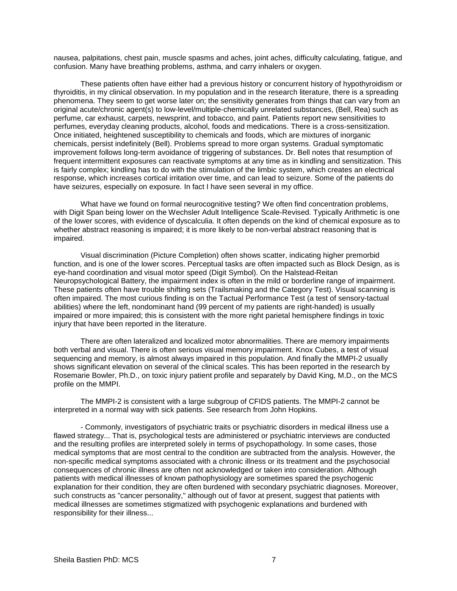nausea, palpitations, chest pain, muscle spasms and aches, joint aches, difficulty calculating, fatigue, and confusion. Many have breathing problems, asthma, and carry inhalers or oxygen.

These patients often have either had a previous history or concurrent history of hypothyroidism or thyroiditis, in my clinical observation. In my population and in the research literature, there is a spreading phenomena. They seem to get worse later on; the sensitivity generates from things that can vary from an original acute/chronic agent(s) to low-level/multiple-chemically unrelated substances, (Bell, Rea) such as perfume, car exhaust, carpets, newsprint, and tobacco, and paint. Patients report new sensitivities to perfumes, everyday cleaning products, alcohol, foods and medications. There is a cross-sensitization. Once initiated, heightened susceptibility to chemicals and foods, which are mixtures of inorganic chemicals, persist indefinitely (Bell). Problems spread to more organ systems. Gradual symptomatic improvement follows long-term avoidance of triggering of substances. Dr. Bell notes that resumption of frequent intermittent exposures can reactivate symptoms at any time as in kindling and sensitization. This is fairly complex; kindling has to do with the stimulation of the limbic system, which creates an electrical response, which increases cortical irritation over time, and can lead to seizure. Some of the patients do have seizures, especially on exposure. In fact I have seen several in my office.

What have we found on formal neurocognitive testing? We often find concentration problems, with Digit Span being lower on the Wechsler Adult Intelligence Scale-Revised. Typically Arithmetic is one of the lower scores, with evidence of dyscalculia. It often depends on the kind of chemical exposure as to whether abstract reasoning is impaired; it is more likely to be non-verbal abstract reasoning that is impaired.

Visual discrimination (Picture Completion) often shows scatter, indicating higher premorbid function, and is one of the lower scores. Perceptual tasks are often impacted such as Block Design, as is eye-hand coordination and visual motor speed (Digit Symbol). On the Halstead-Reitan Neuropsychological Battery, the impairment index is often in the mild or borderline range of impairment. These patients often have trouble shifting sets (Trailsmaking and the Category Test). Visual scanning is often impaired. The most curious finding is on the Tactual Performance Test (a test of sensory-tactual abilities) where the left, nondominant hand (99 percent of my patients are right-handed) is usually impaired or more impaired; this is consistent with the more right parietal hemisphere findings in toxic injury that have been reported in the literature.

There are often lateralized and localized motor abnormalities. There are memory impairments both verbal and visual. There is often serious visual memory impairment. Knox Cubes, a test of visual sequencing and memory, is almost always impaired in this population. And finally the MMPI-2 usually shows significant elevation on several of the clinical scales. This has been reported in the research by Rosemarie Bowler, Ph.D., on toxic injury patient profile and separately by David King, M.D., on the MCS profile on the MMPI.

The MMPI-2 is consistent with a large subgroup of CFIDS patients. The MMPI-2 cannot be interpreted in a normal way with sick patients. See research from John Hopkins.

- Commonly, investigators of psychiatric traits or psychiatric disorders in medical illness use a flawed strategy... That is, psychological tests are administered or psychiatric interviews are conducted and the resulting profiles are interpreted solely in terms of psychopathology. In some cases, those medical symptoms that are most central to the condition are subtracted from the analysis. However, the non-specific medical symptoms associated with a chronic illness or its treatment and the psychosocial consequences of chronic illness are often not acknowledged or taken into consideration. Although patients with medical illnesses of known pathophysiology are sometimes spared the psychogenic explanation for their condition, they are often burdened with secondary psychiatric diagnoses. Moreover, such constructs as "cancer personality," although out of favor at present, suggest that patients with medical illnesses are sometimes stigmatized with psychogenic explanations and burdened with responsibility for their illness...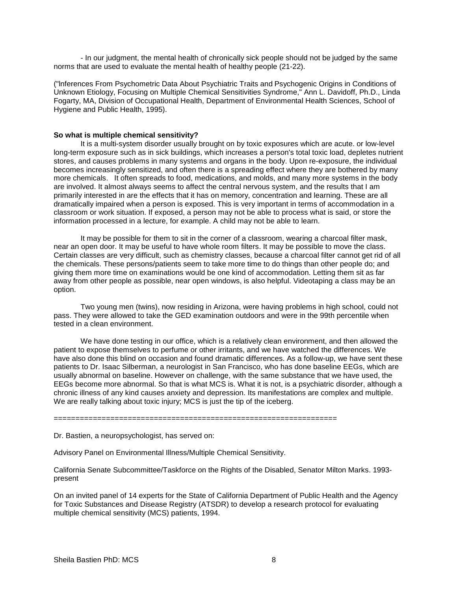- In our judgment, the mental health of chronically sick people should not be judged by the same norms that are used to evaluate the mental health of healthy people (21-22).

("lnferences From Psychometric Data About Psychiatric Traits and Psychogenic Origins in Conditions of Unknown Etiology, Focusing on Multiple Chemical Sensitivities Syndrome," Ann L. Davidoff, Ph.D., Linda Fogarty, MA, Division of Occupational Health, Department of Environmental Health Sciences, School of Hygiene and Public Health, 1995).

#### **So what is multiple chemical sensitivity?**

It is a multi-system disorder usually brought on by toxic exposures which are acute. or low-level long-term exposure such as in sick buildings, which increases a person's total toxic load, depletes nutrient stores, and causes problems in many systems and organs in the body. Upon re-exposure, the individual becomes increasingly sensitized, and often there is a spreading effect where they are bothered by many more chemicals. It often spreads to food, medications, and molds, and many more systems in the body are involved. It almost always seems to affect the central nervous system, and the results that I am primarily interested in are the effects that it has on memory, concentration and learning. These are all dramatically impaired when a person is exposed. This is very important in terms of accommodation in a classroom or work situation. If exposed, a person may not be able to process what is said, or store the information processed in a lecture, for example. A child may not be able to learn.

It may be possible for them to sit in the corner of a classroom, wearing a charcoal filter mask, near an open door. It may be useful to have whole room filters. It may be possible to move the class. Certain classes are very difficult, such as chemistry classes, because a charcoal filter cannot get rid of all the chemicals. These persons/patients seem to take more time to do things than other people do; and giving them more time on examinations would be one kind of accommodation. Letting them sit as far away from other people as possible, near open windows, is also helpful. Videotaping a class may be an option.

Two young men (twins), now residing in Arizona, were having problems in high school, could not pass. They were allowed to take the GED examination outdoors and were in the 99th percentile when tested in a clean environment.

We have done testing in our office, which is a relatively clean environment, and then allowed the patient to expose themselves to perfume or other irritants, and we have watched the differences. We have also done this blind on occasion and found dramatic differences. As a follow-up, we have sent these patients to Dr. Isaac Silberman, a neurologist in San Francisco, who has done baseline EEGs, which are usually abnormal on baseline. However on challenge, with the same substance that we have used, the EEGs become more abnormal. So that is what MCS is. What it is not, is a psychiatric disorder, although a chronic illness of any kind causes anxiety and depression. Its manifestations are complex and multiple. We are really talking about toxic injury; MCS is just the tip of the iceberg.

=================================================================

Dr. Bastien, a neuropsychologist, has served on:

Advisory Panel on Environmental Illness/Multiple Chemical Sensitivity.

California Senate Subcommittee/Taskforce on the Rights of the Disabled, Senator Milton Marks. 1993 present

On an invited panel of 14 experts for the State of California Department of Public Health and the Agency for Toxic Substances and Disease Registry (ATSDR) to develop a research protocol for evaluating multiple chemical sensitivity (MCS) patients, 1994.